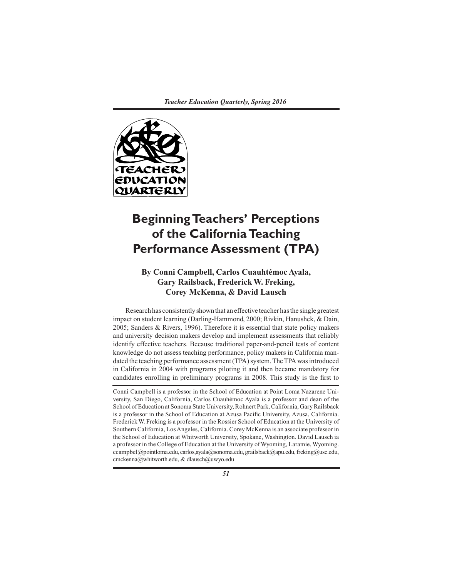

# **Beginning Teachers' Perceptions of the California Teaching Performance Assessment (TPA)**

# **By Conni Campbell, Carlos Cuauhtémoc Ayala, Gary Railsback, Frederick W. Freking, Corey McKenna, & David Lausch**

Research has consistently shown that an effective teacher has the single greatest impact on student learning (Darling-Hammond, 2000; Rivkin, Hanushek, & Dain, 2005; Sanders & Rivers, 1996). Therefore it is essential that state policy makers and university decision makers develop and implement assessments that reliably identify effective teachers. Because traditional paper-and-pencil tests of content knowledge do not assess teaching performance, policy makers in California mandated the teaching performance assessment (TPA) system. The TPA was introduced in California in 2004 with programs piloting it and then became mandatory for candidates enrolling in preliminary programs in 2008. This study is the first to

Conni Campbell is a professor in the School of Education at Point Loma Nazarene University, San Diego, California, Carlos Cuauhémoc Ayala is a professor and dean of the School of Education at Sonoma State University, Rohnert Park, California, Gary Railsback is a professor in the School of Education at Azusa Pacific University, Azusa, California. Frederick W. Freking is a professor in the Rossier School of Education at the University of Southern California, Los Angeles, California. Corey McKenna is an associate professor in the School of Education at Whitworth University, Spokane, Washington. David Lausch ia a professor in the College of Education at the University of Wyoming, Laramie, Wyoming. ccampbel@pointloma.edu, carlos,ayala@sonoma.edu, grailsback@apu.edu, freking@usc.edu, cmckenna@whitworth.edu, & dlausch@uwyo.edu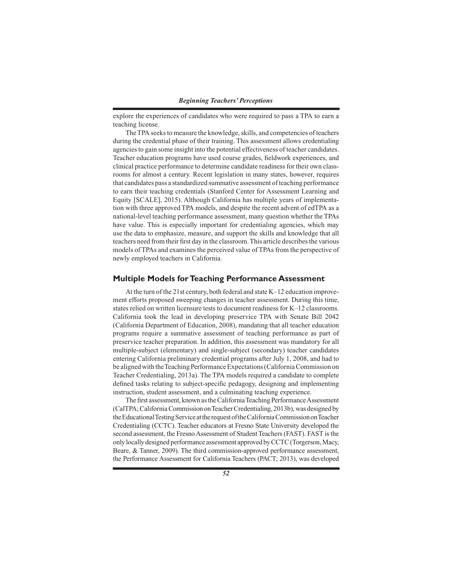explore the experiences of candidates who were required to pass a TPA to earn a teaching license.

The TPA seeks to measure the knowledge, skills, and competencies of teachers during the credential phase of their training. This assessment allows credentialing agencies to gain some insight into the potential effectiveness of teacher candidates. Teacher education programs have used course grades, fieldwork experiences, and clinical practice performance to determine candidate readiness for their own classrooms for almost a century. Recent legislation in many states, however, requires that candidates pass a standardized summative assessment of teaching performance to earn their teaching credentials (Stanford Center for Assessment Learning and Equity [SCALE], 2015). Although California has multiple years of implementation with three approved TPA models, and despite the recent advent of edTPA as a national-level teaching performance assessment, many question whether the TPAs have value. This is especially important for credentialing agencies, which may use the data to emphasize, measure, and support the skills and knowledge that all teachers need from their first day in the classroom. This article describes the various models of TPAs and examines the perceived value of TPAs from the perspective of newly employed teachers in California.

## **Multiple Models for Teaching Performance Assessment**

At the turn of the 21st century, both federal and state K–12 education improvement efforts proposed sweeping changes in teacher assessment. During this time, states relied on written licensure tests to document readiness for K–12 classrooms. California took the lead in developing preservice TPA with Senate Bill 2042 (California Department of Education, 2008), mandating that all teacher education programs require a summative assessment of teaching performance as part of preservice teacher preparation. In addition, this assessment was mandatory for all multiple-subject (elementary) and single-subject (secondary) teacher candidates entering California preliminary credential programs after July 1, 2008, and had to be aligned with the Teaching Performance Expectations (California Commission on Teacher Credentialing, 2013a). The TPA models required a candidate to complete defined tasks relating to subject-specific pedagogy, designing and implementing instruction, student assessment, and a culminating teaching experience.

The first assessment, known as the California Teaching Performance Assessment (CalTPA; California Commission on Teacher Credentialing, 2013b), was designed by the Educational Testing Service at the request of the California Commission on Teacher Credentialing (CCTC). Teacher educators at Fresno State University developed the second assessment, the Fresno Assessment of Student Teachers (FAST). FAST is the only locally designed performance assessment approved by CCTC (Torgerson, Macy, Beare, & Tanner, 2009). The third commission-approved performance assessment, the Performance Assessment for California Teachers (PACT; 2013), was developed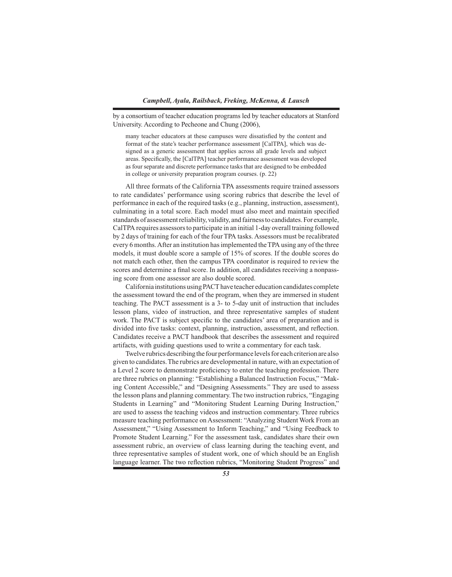by a consortium of teacher education programs led by teacher educators at Stanford University. According to Pecheone and Chung (2006),

many teacher educators at these campuses were dissatisfied by the content and format of the state's teacher performance assessment [CalTPA], which was designed as a generic assessment that applies across all grade levels and subject areas. Specifically, the [CalTPA] teacher performance assessment was developed as four separate and discrete performance tasks that are designed to be embedded in college or university preparation program courses. (p. 22)

All three formats of the California TPA assessments require trained assessors to rate candidates' performance using scoring rubrics that describe the level of performance in each of the required tasks (e.g., planning, instruction, assessment), culminating in a total score. Each model must also meet and maintain specified standards of assessment reliability, validity, and fairness to candidates. For example, CalTPA requires assessors to participate in an initial 1-day overall training followed by 2 days of training for each of the four TPA tasks. Assessors must be recalibrated every 6 months. After an institution has implemented the TPA using any of the three models, it must double score a sample of 15% of scores. If the double scores do not match each other, then the campus TPA coordinator is required to review the scores and determine a final score. In addition, all candidates receiving a nonpassing score from one assessor are also double scored.

California institutions using PACT have teacher education candidates complete the assessment toward the end of the program, when they are immersed in student teaching. The PACT assessment is a 3- to 5-day unit of instruction that includes lesson plans, video of instruction, and three representative samples of student work. The PACT is subject specific to the candidates' area of preparation and is divided into five tasks: context, planning, instruction, assessment, and reflection. Candidates receive a PACT handbook that describes the assessment and required artifacts, with guiding questions used to write a commentary for each task.

Twelve rubrics describing the four performance levels for each criterion are also given to candidates. The rubrics are developmental in nature, with an expectation of a Level 2 score to demonstrate proficiency to enter the teaching profession. There are three rubrics on planning: "Establishing a Balanced Instruction Focus," "Making Content Accessible," and "Designing Assessments." They are used to assess the lesson plans and planning commentary. The two instruction rubrics, "Engaging Students in Learning" and "Monitoring Student Learning During Instruction," are used to assess the teaching videos and instruction commentary. Three rubrics measure teaching performance on Assessment: "Analyzing Student Work From an Assessment," "Using Assessment to Inform Teaching," and "Using Feedback to Promote Student Learning." For the assessment task, candidates share their own assessment rubric, an overview of class learning during the teaching event, and three representative samples of student work, one of which should be an English language learner. The two reflection rubrics, "Monitoring Student Progress" and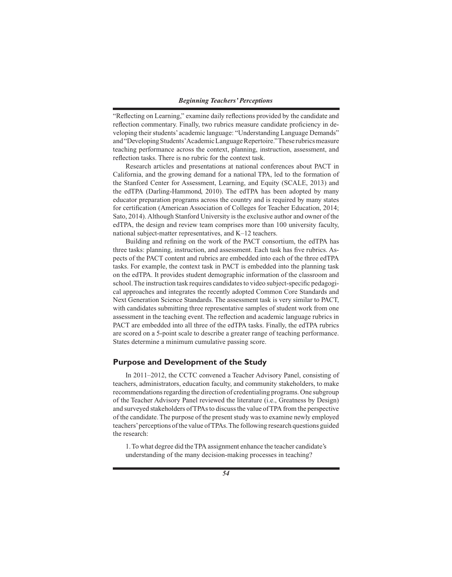"Reflecting on Learning," examine daily reflections provided by the candidate and reflection commentary. Finally, two rubrics measure candidate proficiency in developing their students' academic language: "Understanding Language Demands" and "Developing Students' Academic Language Repertoire." These rubrics measure teaching performance across the context, planning, instruction, assessment, and reflection tasks. There is no rubric for the context task.

Research articles and presentations at national conferences about PACT in California, and the growing demand for a national TPA, led to the formation of the Stanford Center for Assessment, Learning, and Equity (SCALE, 2013) and the edTPA (Darling-Hammond, 2010). The edTPA has been adopted by many educator preparation programs across the country and is required by many states for certification (American Association of Colleges for Teacher Education, 2014; Sato, 2014). Although Stanford University is the exclusive author and owner of the edTPA, the design and review team comprises more than 100 university faculty, national subject-matter representatives, and K–12 teachers.

Building and refining on the work of the PACT consortium, the edTPA has three tasks: planning, instruction, and assessment. Each task has five rubrics. Aspects of the PACT content and rubrics are embedded into each of the three edTPA tasks. For example, the context task in PACT is embedded into the planning task on the edTPA. It provides student demographic information of the classroom and school. The instruction task requires candidates to video subject-specific pedagogical approaches and integrates the recently adopted Common Core Standards and Next Generation Science Standards. The assessment task is very similar to PACT, with candidates submitting three representative samples of student work from one assessment in the teaching event. The reflection and academic language rubrics in PACT are embedded into all three of the edTPA tasks. Finally, the edTPA rubrics are scored on a 5-point scale to describe a greater range of teaching performance. States determine a minimum cumulative passing score.

# **Purpose and Development of the Study**

In 2011–2012, the CCTC convened a Teacher Advisory Panel, consisting of teachers, administrators, education faculty, and community stakeholders, to make recommendations regarding the direction of credentialing programs. One subgroup of the Teacher Advisory Panel reviewed the literature (i.e., Greatness by Design) and surveyed stakeholders of TPAs to discuss the value of TPA from the perspective of the candidate. The purpose of the present study was to examine newly employed teachers' perceptions of the value of TPAs. The following research questions guided the research:

1. To what degree did the TPA assignment enhance the teacher candidate's understanding of the many decision-making processes in teaching?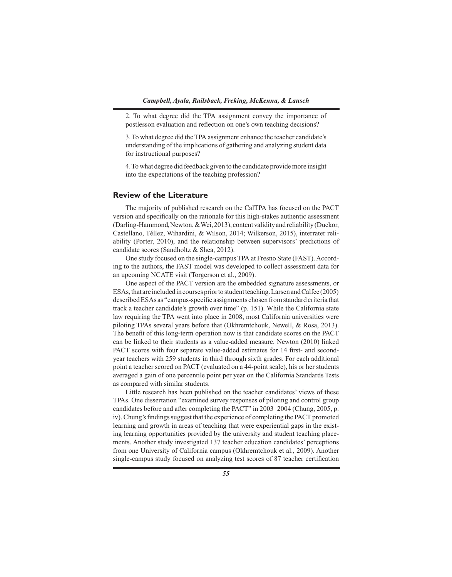2. To what degree did the TPA assignment convey the importance of postlesson evaluation and reflection on one's own teaching decisions?

3. To what degree did the TPA assignment enhance the teacher candidate's understanding of the implications of gathering and analyzing student data for instructional purposes?

4. To what degree did feedback given to the candidate provide more insight into the expectations of the teaching profession?

# **Review of the Literature**

The majority of published research on the CalTPA has focused on the PACT version and specifically on the rationale for this high-stakes authentic assessment (Darling-Hammond, Newton, & Wei, 2013), content validity and reliability (Duckor, Castellano, Téllez, Wihardini, & Wilson, 2014; Wilkerson, 2015), interrater reliability (Porter, 2010), and the relationship between supervisors' predictions of candidate scores (Sandholtz & Shea, 2012).

One study focused on the single-campus TPA at Fresno State (FAST). According to the authors, the FAST model was developed to collect assessment data for an upcoming NCATE visit (Torgerson et al., 2009).

One aspect of the PACT version are the embedded signature assessments, or ESAs, that are included in courses prior to student teaching. Larsen and Calfee (2005) described ESAs as "campus-specific assignments chosen from standard criteria that track a teacher candidate's growth over time" (p. 151). While the California state law requiring the TPA went into place in 2008, most California universities were piloting TPAs several years before that (Okhremtchouk, Newell, & Rosa, 2013). The benefit of this long-term operation now is that candidate scores on the PACT can be linked to their students as a value-added measure. Newton (2010) linked PACT scores with four separate value-added estimates for 14 first- and secondyear teachers with 259 students in third through sixth grades. For each additional point a teacher scored on PACT (evaluated on a 44-point scale), his or her students averaged a gain of one percentile point per year on the California Standards Tests as compared with similar students.

Little research has been published on the teacher candidates' views of these TPAs. One dissertation "examined survey responses of piloting and control group candidates before and after completing the PACT" in 2003–2004 (Chung, 2005, p. iv). Chung's findings suggest that the experience of completing the PACT promoted learning and growth in areas of teaching that were experiential gaps in the existing learning opportunities provided by the university and student teaching placements. Another study investigated 137 teacher education candidates' perceptions from one University of California campus (Okhremtchouk et al., 2009). Another single-campus study focused on analyzing test scores of 87 teacher certification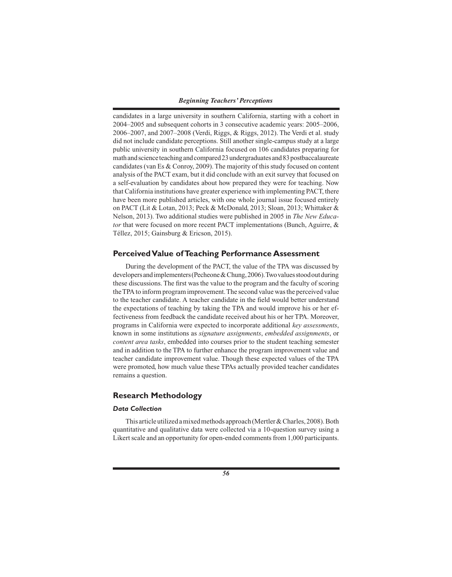candidates in a large university in southern California, starting with a cohort in 2004–2005 and subsequent cohorts in 3 consecutive academic years: 2005–2006, 2006–2007, and 2007–2008 (Verdi, Riggs, & Riggs, 2012). The Verdi et al. study did not include candidate perceptions. Still another single-campus study at a large public university in southern California focused on 106 candidates preparing for math and science teaching and compared 23 undergraduates and 83 postbaccalaureate candidates (van Es & Conroy, 2009). The majority of this study focused on content analysis of the PACT exam, but it did conclude with an exit survey that focused on a self-evaluation by candidates about how prepared they were for teaching. Now that California institutions have greater experience with implementing PACT, there have been more published articles, with one whole journal issue focused entirely on PACT (Lit & Lotan, 2013; Peck & McDonald, 2013; Sloan, 2013; Whittaker & Nelson, 2013). Two additional studies were published in 2005 in *The New Educator* that were focused on more recent PACT implementations (Bunch, Aguirre, & Téllez, 2015; Gainsburg & Ericson, 2015).

# **Perceived Value of Teaching Performance Assessment**

During the development of the PACT, the value of the TPA was discussed by developers and implementers (Pecheone & Chung, 2006). Two values stood out during these discussions. The first was the value to the program and the faculty of scoring the TPA to inform program improvement. The second value was the perceived value to the teacher candidate. A teacher candidate in the field would better understand the expectations of teaching by taking the TPA and would improve his or her effectiveness from feedback the candidate received about his or her TPA. Moreover, programs in California were expected to incorporate additional *key assessments*, known in some institutions as *signature assignments*, *embedded assignments*, or *content area tasks*, embedded into courses prior to the student teaching semester and in addition to the TPA to further enhance the program improvement value and teacher candidate improvement value. Though these expected values of the TPA were promoted, how much value these TPAs actually provided teacher candidates remains a question.

# **Research Methodology**

# *Data Collection*

This article utilized a mixed methods approach (Mertler & Charles, 2008). Both quantitative and qualitative data were collected via a 10-question survey using a Likert scale and an opportunity for open-ended comments from 1,000 participants.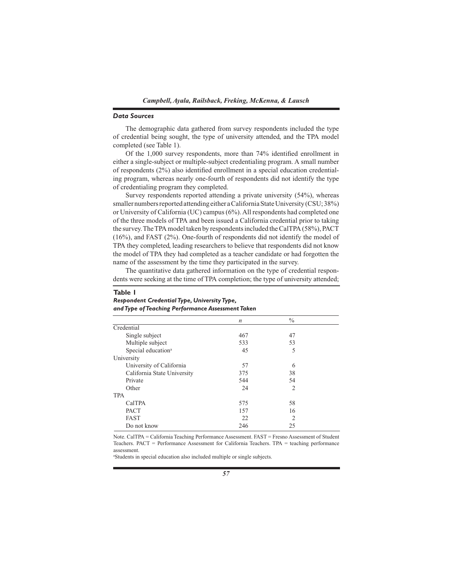### *Data Sources*

The demographic data gathered from survey respondents included the type of credential being sought, the type of university attended, and the TPA model completed (see Table 1).

Of the 1,000 survey respondents, more than 74% identified enrollment in either a single-subject or multiple-subject credentialing program. A small number of respondents (2%) also identified enrollment in a special education credentialing program, whereas nearly one-fourth of respondents did not identify the type of credentialing program they completed.

Survey respondents reported attending a private university (54%), whereas smaller numbers reported attending either a California State University (CSU; 38%) or University of California (UC) campus (6%). All respondents had completed one of the three models of TPA and been issued a California credential prior to taking the survey. The TPA model taken by respondents included the CalTPA (58%), PACT (16%), and FAST (2%). One-fourth of respondents did not identify the model of TPA they completed, leading researchers to believe that respondents did not know the model of TPA they had completed as a teacher candidate or had forgotten the name of the assessment by the time they participated in the survey.

The quantitative data gathered information on the type of credential respondents were seeking at the time of TPA completion; the type of university attended;

### **Table 1**

# *Respondent Credential Type, University Type, and Type of Teaching Performance Assessment Taken*

|                                | $\boldsymbol{n}$ | $\frac{0}{0}$            |  |
|--------------------------------|------------------|--------------------------|--|
| Credential                     |                  |                          |  |
| Single subject                 | 467              | 47                       |  |
| Multiple subject               | 533              | 53                       |  |
| Special education <sup>a</sup> | 45               | 5                        |  |
| University                     |                  |                          |  |
| University of California       | 57               | 6                        |  |
| California State University    | 375              | 38                       |  |
| Private                        | 544              | 54                       |  |
| Other                          | 24               | 2                        |  |
| <b>TPA</b>                     |                  |                          |  |
| CalTPA                         | 575              | 58                       |  |
| <b>PACT</b>                    | 157              | 16                       |  |
| <b>FAST</b>                    | 22               | $\mathfrak{D}_{1}^{(1)}$ |  |
| Do not know                    | 246              | 25                       |  |

Note. CalTPA = California Teaching Performance Assessment. FAST = Fresno Assessment of Student Teachers. PACT = Performance Assessment for California Teachers. TPA = teaching performance assessment.

a Students in special education also included multiple or single subjects.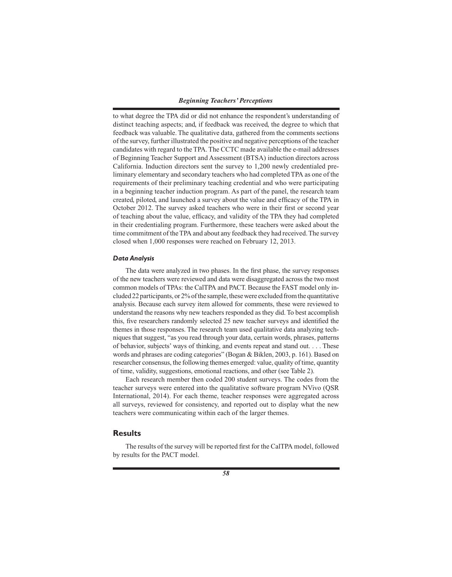to what degree the TPA did or did not enhance the respondent's understanding of distinct teaching aspects; and, if feedback was received, the degree to which that feedback was valuable. The qualitative data, gathered from the comments sections of the survey, further illustrated the positive and negative perceptions of the teacher candidates with regard to the TPA. The CCTC made available the e-mail addresses of Beginning Teacher Support and Assessment (BTSA) induction directors across California. Induction directors sent the survey to 1,200 newly credentialed preliminary elementary and secondary teachers who had completed TPA as one of the requirements of their preliminary teaching credential and who were participating in a beginning teacher induction program. As part of the panel, the research team created, piloted, and launched a survey about the value and efficacy of the TPA in October 2012. The survey asked teachers who were in their first or second year of teaching about the value, efficacy, and validity of the TPA they had completed in their credentialing program. Furthermore, these teachers were asked about the time commitment of the TPA and about any feedback they had received. The survey closed when 1,000 responses were reached on February 12, 2013.

### *Data Analysis*

The data were analyzed in two phases. In the first phase, the survey responses of the new teachers were reviewed and data were disaggregated across the two most common models of TPAs: the CalTPA and PACT. Because the FAST model only included 22 participants, or 2% of the sample, these were excluded from the quantitative analysis. Because each survey item allowed for comments, these were reviewed to understand the reasons why new teachers responded as they did. To best accomplish this, five researchers randomly selected 25 new teacher surveys and identified the themes in those responses. The research team used qualitative data analyzing techniques that suggest, "as you read through your data, certain words, phrases, patterns of behavior, subjects' ways of thinking, and events repeat and stand out. . . . These words and phrases are coding categories" (Bogan & Biklen, 2003, p. 161). Based on researcher consensus, the following themes emerged: value, quality of time, quantity of time, validity, suggestions, emotional reactions, and other (see Table 2).

Each research member then coded 200 student surveys. The codes from the teacher surveys were entered into the qualitative software program NVivo (QSR International, 2014). For each theme, teacher responses were aggregated across all surveys, reviewed for consistency, and reported out to display what the new teachers were communicating within each of the larger themes.

# **Results**

The results of the survey will be reported first for the CalTPA model, followed by results for the PACT model.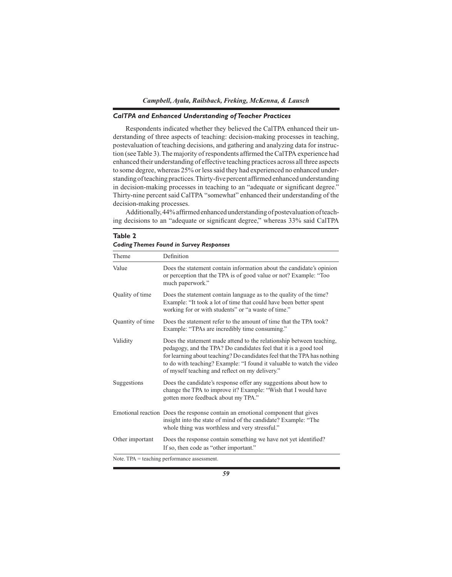# *CalTPA and Enhanced Understanding of Teacher Practices*

Respondents indicated whether they believed the CalTPA enhanced their understanding of three aspects of teaching: decision-making processes in teaching, postevaluation of teaching decisions, and gathering and analyzing data for instruction (see Table 3). The majority of respondents affirmed the CalTPA experience had enhanced their understanding of effective teaching practices across all three aspects to some degree, whereas 25% or less said they had experienced no enhanced understanding of teaching practices. Thirty-five percent affirmed enhanced understanding in decision-making processes in teaching to an "adequate or significant degree." Thirty-nine percent said CalTPA "somewhat" enhanced their understanding of the decision-making processes.

Additionally, 44% affirmed enhanced understanding of postevaluation of teaching decisions to an "adequate or significant degree," whereas 33% said CalTPA

| Theme            | Definition                                                                                                                                                                                                                                                                                                                                       |
|------------------|--------------------------------------------------------------------------------------------------------------------------------------------------------------------------------------------------------------------------------------------------------------------------------------------------------------------------------------------------|
| Value            | Does the statement contain information about the candidate's opinion<br>or perception that the TPA is of good value or not? Example: "Too<br>much paperwork."                                                                                                                                                                                    |
| Quality of time  | Does the statement contain language as to the quality of the time?<br>Example: "It took a lot of time that could have been better spent<br>working for or with students" or "a waste of time."                                                                                                                                                   |
| Quantity of time | Does the statement refer to the amount of time that the TPA took?<br>Example: "TPAs are incredibly time consuming."                                                                                                                                                                                                                              |
| Validity         | Does the statement made attend to the relationship between teaching,<br>pedagogy, and the TPA? Do candidates feel that it is a good tool<br>for learning about teaching? Do candidates feel that the TPA has nothing<br>to do with teaching? Example: "I found it valuable to watch the video<br>of myself teaching and reflect on my delivery." |
| Suggestions      | Does the candidate's response offer any suggestions about how to<br>change the TPA to improve it? Example: "Wish that I would have<br>gotten more feedback about my TPA."                                                                                                                                                                        |
|                  | Emotional reaction Does the response contain an emotional component that gives<br>insight into the state of mind of the candidate? Example: "The<br>whole thing was worthless and very stressful."                                                                                                                                               |
| Other important  | Does the response contain something we have not yet identified?<br>If so, then code as "other important."                                                                                                                                                                                                                                        |

**Table 2** *Coding Themes Found in Survey Responses*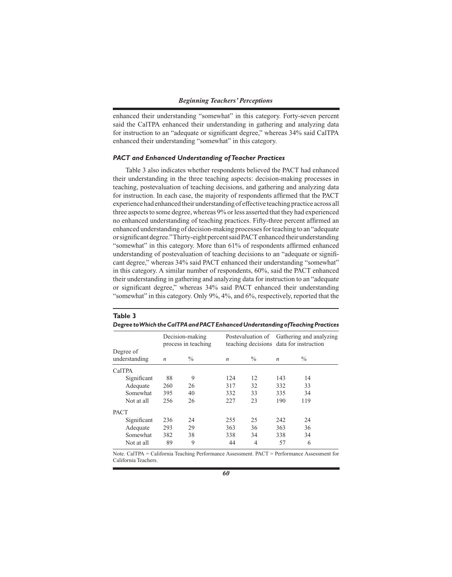enhanced their understanding "somewhat" in this category. Forty-seven percent said the CalTPA enhanced their understanding in gathering and analyzing data for instruction to an "adequate or significant degree," whereas 34% said CalTPA enhanced their understanding "somewhat" in this category.

### *PACT and Enhanced Understanding of Teacher Practices*

Table 3 also indicates whether respondents believed the PACT had enhanced their understanding in the three teaching aspects: decision-making processes in teaching, postevaluation of teaching decisions, and gathering and analyzing data for instruction. In each case, the majority of respondents affirmed that the PACT experience had enhanced their understanding of effective teaching practice across all three aspects to some degree, whereas 9% or less asserted that they had experienced no enhanced understanding of teaching practices. Fifty-three percent affirmed an enhanced understanding of decision-making processes for teaching to an "adequate or significant degree." Thirty-eight percent said PACT enhanced their understanding "somewhat" in this category. More than 61% of respondents affirmed enhanced understanding of postevaluation of teaching decisions to an "adequate or significant degree," whereas 34% said PACT enhanced their understanding "somewhat" in this category. A similar number of respondents, 60%, said the PACT enhanced their understanding in gathering and analyzing data for instruction to an "adequate or significant degree," whereas 34% said PACT enhanced their understanding "somewhat" in this category. Only 9%, 4%, and 6%, respectively, reported that the

|                            | Degree to Which the Cal I PA and PAC I Enhanced Understanding of leaching Practices |                                        |                  |      |                  |                                                                                      |  |
|----------------------------|-------------------------------------------------------------------------------------|----------------------------------------|------------------|------|------------------|--------------------------------------------------------------------------------------|--|
|                            |                                                                                     | Decision-making<br>process in teaching |                  |      |                  | Postevaluation of Gathering and analyzing<br>teaching decisions data for instruction |  |
| Degree of<br>understanding | $\boldsymbol{n}$                                                                    | $\%$                                   | $\boldsymbol{n}$ | $\%$ | $\boldsymbol{n}$ | $\%$                                                                                 |  |
| CalTPA                     |                                                                                     |                                        |                  |      |                  |                                                                                      |  |
| Significant                | 88                                                                                  | 9                                      | 124              | 12   | 143              | 14                                                                                   |  |
| Adequate                   | 260                                                                                 | 26                                     | 317              | 32   | 332              | 33                                                                                   |  |
| Somewhat                   | 395                                                                                 | 40                                     | 332              | 33   | 335              | 34                                                                                   |  |
| Not at all                 | 256                                                                                 | 26                                     | 227              | 23   | 190              | 119                                                                                  |  |
| <b>PACT</b>                |                                                                                     |                                        |                  |      |                  |                                                                                      |  |
| Significant                | 236                                                                                 | 24                                     | 255              | 25   | 242              | 24                                                                                   |  |
| Adequate                   | 293                                                                                 | 29                                     | 363              | 36   | 363              | 36                                                                                   |  |
| Somewhat                   | 382                                                                                 | 38                                     | 338              | 34   | 338              | 34                                                                                   |  |
| Not at all                 | 89                                                                                  | 9                                      | 44               | 4    | 57               | 6                                                                                    |  |

# **Table 3**  *Degree to Which the CalTPA and PACT Enhanced Understanding of Teaching Practices*

Note. CalTPA = California Teaching Performance Assessment. PACT = Performance Assessment for California Teachers.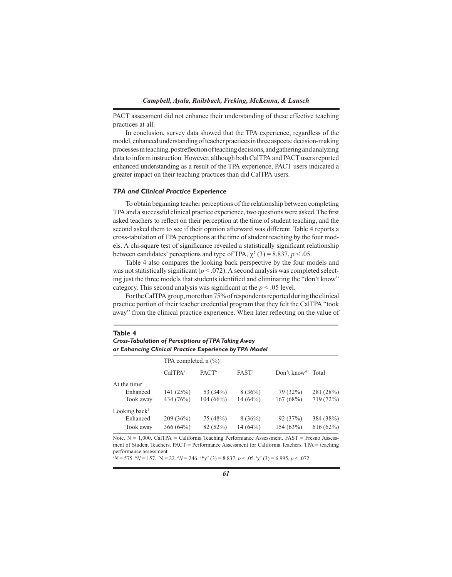PACT assessment did not enhance their understanding of these effective teaching practices at all.

In conclusion, survey data showed that the TPA experience, regardless of the model, enhanced understanding of teacher practices in three aspects: decision-making processes in teaching, postreflection of teaching decisions, and gathering and analyzing data to inform instruction. However, although both CalTPA and PACT users reported enhanced understanding as a result of the TPA experience, PACT users indicated a greater impact on their teaching practices than did CalTPA users.

### *TPA and Clinical Practice Experience*

To obtain beginning teacher perceptions of the relationship between completing TPA and a successful clinical practice experience, two questions were asked. The first asked teachers to reflect on their perception at the time of student teaching, and the second asked them to see if their opinion afterward was different. Table 4 reports a cross-tabulation of TPA perceptions at the time of student teaching by the four models. A chi-square test of significance revealed a statistically significant relationship between candidates' perceptions and type of TPA,  $\chi^2$  (3) = 8.837, *p* < .05.

Table 4 also compares the looking back perspective by the four models and was not statistically significant  $(p < .072)$ . A second analysis was completed selecting just the three models that students identified and eliminating the "don't know" category. This second analysis was significant at the *p* < .05 level.

For the CalTPA group, more than 75% of respondents reported during the clinical practice portion of their teacher credential program that they felt the CalTPA "took away" from the clinical practice experience. When later reflecting on the value of

#### **Table 4**

*Cross-Tabulation of Perceptions of TPA Taking Away or Enhancing Clinical Practice Experience by TPA Model*

|                           |                     | TPA completed, $n$ (%) |                   |                         |           |
|---------------------------|---------------------|------------------------|-------------------|-------------------------|-----------|
|                           | CalTPA <sup>a</sup> | PACT <sup>b</sup>      | FAST <sup>c</sup> | Don't know <sup>d</sup> | Total     |
| At the time <sup>e</sup>  |                     |                        |                   |                         |           |
| Enhanced                  | 141(25%)            | 53 (34%)               | $8(36\%)$         | 79 (32%)                | 281 (28%) |
| Took away                 | 434 (76%)           | 104(66%)               | $14(64\%)$        | 167(68%)                | 719 (72%) |
| Looking back <sup>f</sup> |                     |                        |                   |                         |           |
| Enhanced                  | 209(36%)            | 75 (48%)               | $8(36\%)$         | 92(37%)                 | 384 (38%) |
| Took away                 | 366 $(64%)$         | 82 (52%)               | 14(64%)           | 154(63%)                | 616(62%)  |

Note. N = 1,000. CalTPA = California Teaching Performance Assessment. FAST = Fresno Assessment of Student Teachers. PACT = Performance Assessment for California Teachers. TPA = teaching performance assessment.

 ${}^{a}N$  = 575.  ${}^{b}N$  = 157.  ${}^{c}N$  = 22.  ${}^{d}N$  = 246.  ${}^{e}*\chi^{2}$  (3) = 8.837, *p* < .05.  ${}^{f}\chi^{2}$  (3) = 6.995, *p* < .072.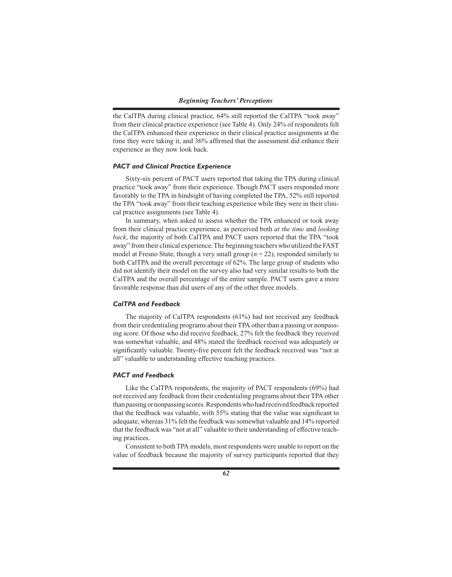the CalTPA during clinical practice, 64% still reported the CalTPA "took away" from their clinical practice experience (see Table 4). Only 24% of respondents felt the CalTPA enhanced their experience in their clinical practice assignments at the time they were taking it, and 36% affirmed that the assessment did enhance their experience as they now look back.

# *PACT and Clinical Practice Experience*

Sixty-six percent of PACT users reported that taking the TPA during clinical practice "took away" from their experience. Though PACT users responded more favorably to the TPA in hindsight of having completed the TPA, 52% still reported the TPA "took away" from their teaching experience while they were in their clinical practice assignments (see Table 4).

In summary, when asked to assess whether the TPA enhanced or took away from their clinical practice experience, as perceived both *at the time* and *looking back*, the majority of both CalTPA and PACT users reported that the TPA "took away" from their clinical experience. The beginning teachers who utilized the FAST model at Fresno State, though a very small group (*n* = 22), responded similarly to both CalTPA and the overall percentage of 62%. The large group of students who did not identify their model on the survey also had very similar results to both the CalTPA and the overall percentage of the entire sample. PACT users gave a more favorable response than did users of any of the other three models.

### *CalTPA and Feedback*

The majority of CalTPA respondents (61%) had not received any feedback from their credentialing programs about their TPA other than a passing or nonpassing score. Of those who did receive feedback, 27% felt the feedback they received was somewhat valuable, and 48% stated the feedback received was adequately or significantly valuable. Twenty-five percent felt the feedback received was "not at all" valuable to understanding effective teaching practices.

### *PACT and Feedback*

Like the CalTPA respondents, the majority of PACT respondents (69%) had not received any feedback from their credentialing programs about their TPA other than passing or nonpassing scores. Respondents who had received feedback reported that the feedback was valuable, with 55% stating that the value was significant to adequate, whereas 31% felt the feedback was somewhat valuable and 14% reported that the feedback was "not at all" valuable to their understanding of effective teaching practices.

Consistent to both TPA models, most respondents were unable to report on the value of feedback because the majority of survey participants reported that they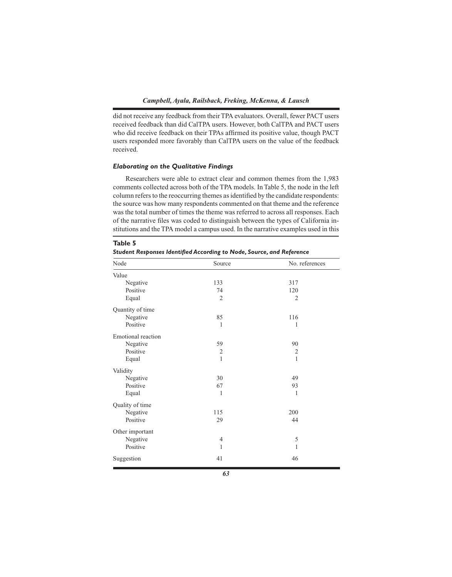did not receive any feedback from their TPA evaluators. Overall, fewer PACT users received feedback than did CalTPA users. However, both CalTPA and PACT users who did receive feedback on their TPAs affirmed its positive value, though PACT users responded more favorably than CalTPA users on the value of the feedback received.

# *Elaborating on the Qualitative Findings*

Researchers were able to extract clear and common themes from the 1,983 comments collected across both of the TPA models. In Table 5, the node in the left column refers to the reoccurring themes as identified by the candidate respondents: the source was how many respondents commented on that theme and the reference was the total number of times the theme was referred to across all responses. Each of the narrative files was coded to distinguish between the types of California institutions and the TPA model a campus used. In the narrative examples used in this

| Node                      | Source         | No. references |
|---------------------------|----------------|----------------|
| Value                     |                |                |
| Negative                  | 133            | 317            |
| Positive                  | 74             | 120            |
| Equal                     | $\overline{2}$ | $\overline{2}$ |
| Quantity of time          |                |                |
| Negative                  | 85             | 116            |
| Positive                  | 1              | 1              |
| <b>Emotional</b> reaction |                |                |
| Negative                  | 59             | 90             |
| Positive                  | $\overline{2}$ | $\overline{2}$ |
| Equal                     | $\mathbf{1}$   | $\mathbf{1}$   |
| Validity                  |                |                |
| Negative                  | 30             | 49             |
| Positive                  | 67             | 93             |
| Equal                     | 1              | 1              |
| Quality of time           |                |                |
| Negative                  | 115            | 200            |
| Positive                  | 29             | 44             |
| Other important           |                |                |
| Negative                  | 4              | $\mathfrak s$  |
| Positive                  | 1              | 1              |
| Suggestion                | 41             | 46             |

**Table 5** *Student Responses Identified According to Node, Source, and Reference*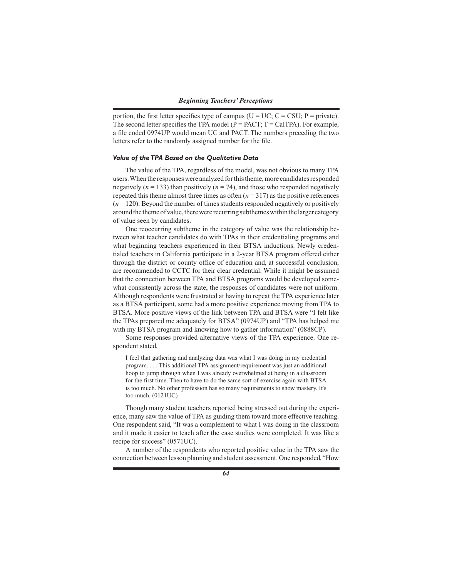portion, the first letter specifies type of campus ( $U = UC$ ;  $C = CSU$ ;  $P = private$ ). The second letter specifies the TPA model ( $P = PACT$ ;  $T = CATPA$ ). For example, a file coded 0974UP would mean UC and PACT. The numbers preceding the two letters refer to the randomly assigned number for the file.

### *Value of the TPA Based on the Qualitative Data*

The value of the TPA, regardless of the model, was not obvious to many TPA users. When the responses were analyzed for this theme, more candidates responded negatively ( $n = 133$ ) than positively ( $n = 74$ ), and those who responded negatively repeated this theme almost three times as often  $(n = 317)$  as the positive references (*n* = 120). Beyond the number of times students responded negatively or positively around the theme of value, there were recurring subthemes within the larger category of value seen by candidates.

One reoccurring subtheme in the category of value was the relationship between what teacher candidates do with TPAs in their credentialing programs and what beginning teachers experienced in their BTSA inductions. Newly credentialed teachers in California participate in a 2-year BTSA program offered either through the district or county office of education and, at successful conclusion, are recommended to CCTC for their clear credential. While it might be assumed that the connection between TPA and BTSA programs would be developed somewhat consistently across the state, the responses of candidates were not uniform. Although respondents were frustrated at having to repeat the TPA experience later as a BTSA participant, some had a more positive experience moving from TPA to BTSA. More positive views of the link between TPA and BTSA were "I felt like the TPAs prepared me adequately for BTSA" (0974UP) and "TPA has helped me with my BTSA program and knowing how to gather information" (0888CP).

Some responses provided alternative views of the TPA experience. One respondent stated,

I feel that gathering and analyzing data was what I was doing in my credential program. . . . This additional TPA assignment/requirement was just an additional hoop to jump through when I was already overwhelmed at being in a classroom for the first time. Then to have to do the same sort of exercise again with BTSA is too much. No other profession has so many requirements to show mastery. It's too much. (0121UC)

Though many student teachers reported being stressed out during the experience, many saw the value of TPA as guiding them toward more effective teaching. One respondent said, "It was a complement to what I was doing in the classroom and it made it easier to teach after the case studies were completed. It was like a recipe for success" (0571UC).

A number of the respondents who reported positive value in the TPA saw the connection between lesson planning and student assessment. One responded, "How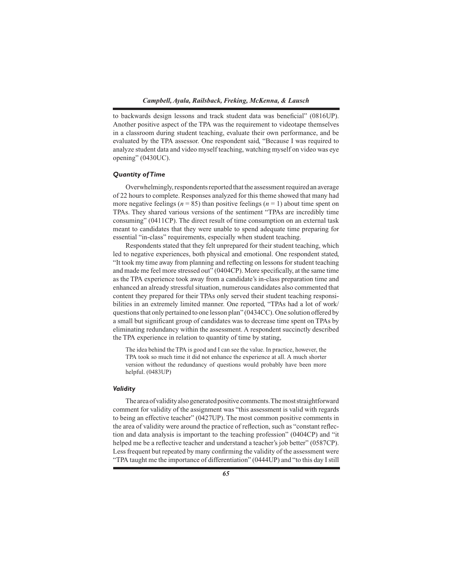to backwards design lessons and track student data was beneficial" (0816UP). Another positive aspect of the TPA was the requirement to videotape themselves in a classroom during student teaching, evaluate their own performance, and be evaluated by the TPA assessor. One respondent said, "Because I was required to analyze student data and video myself teaching, watching myself on video was eye opening" (0430UC).

### *Quantity of Time*

Overwhelmingly, respondents reported that the assessment required an average of 22 hours to complete. Responses analyzed for this theme showed that many had more negative feelings ( $n = 85$ ) than positive feelings ( $n = 1$ ) about time spent on TPAs. They shared various versions of the sentiment "TPAs are incredibly time consuming" (0411CP). The direct result of time consumption on an external task meant to candidates that they were unable to spend adequate time preparing for essential "in-class" requirements, especially when student teaching.

Respondents stated that they felt unprepared for their student teaching, which led to negative experiences, both physical and emotional. One respondent stated, "It took my time away from planning and reflecting on lessons for student teaching and made me feel more stressed out" (0404CP). More specifically, at the same time as the TPA experience took away from a candidate's in-class preparation time and enhanced an already stressful situation, numerous candidates also commented that content they prepared for their TPAs only served their student teaching responsibilities in an extremely limited manner. One reported, "TPAs had a lot of work/ questions that only pertained to one lesson plan" (0434CC). One solution offered by a small but significant group of candidates was to decrease time spent on TPAs by eliminating redundancy within the assessment. A respondent succinctly described the TPA experience in relation to quantity of time by stating,

The idea behind the TPA is good and I can see the value. In practice, however, the TPA took so much time it did not enhance the experience at all. A much shorter version without the redundancy of questions would probably have been more helpful. (0483UP)

# *Validity*

The area of validity also generated positive comments. The most straightforward comment for validity of the assignment was "this assessment is valid with regards to being an effective teacher" (0427UP). The most common positive comments in the area of validity were around the practice of reflection, such as "constant reflection and data analysis is important to the teaching profession" (0404CP) and "it helped me be a reflective teacher and understand a teacher's job better" (0587CP). Less frequent but repeated by many confirming the validity of the assessment were "TPA taught me the importance of differentiation" (0444UP) and "to this day I still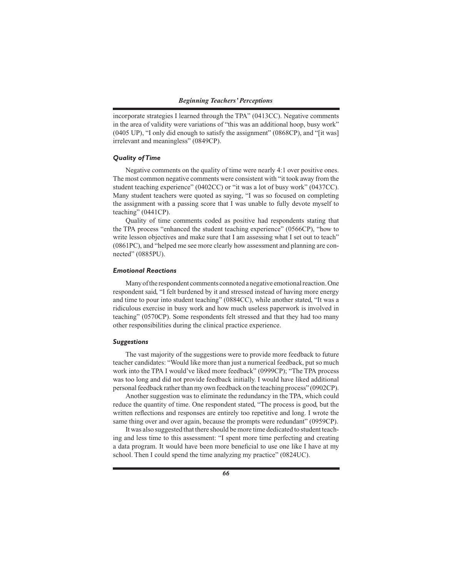incorporate strategies I learned through the TPA" (0413CC). Negative comments in the area of validity were variations of "this was an additional hoop, busy work" (0405 UP), "I only did enough to satisfy the assignment" (0868CP), and "[it was] irrelevant and meaningless" (0849CP).

### *Quality of Time*

Negative comments on the quality of time were nearly 4:1 over positive ones. The most common negative comments were consistent with "it took away from the student teaching experience" (0402CC) or "it was a lot of busy work" (0437CC). Many student teachers were quoted as saying, "I was so focused on completing the assignment with a passing score that I was unable to fully devote myself to teaching" (0441CP).

Quality of time comments coded as positive had respondents stating that the TPA process "enhanced the student teaching experience" (0566CP), "how to write lesson objectives and make sure that I am assessing what I set out to teach" (0861PC), and "helped me see more clearly how assessment and planning are connected" (0885PU).

### *Emotional Reactions*

Many of the respondent comments connoted a negative emotional reaction. One respondent said, "I felt burdened by it and stressed instead of having more energy and time to pour into student teaching" (0884CC), while another stated, "It was a ridiculous exercise in busy work and how much useless paperwork is involved in teaching" (0570CP). Some respondents felt stressed and that they had too many other responsibilities during the clinical practice experience.

### *Suggestions*

The vast majority of the suggestions were to provide more feedback to future teacher candidates: "Would like more than just a numerical feedback, put so much work into the TPA I would've liked more feedback" (0999CP); "The TPA process was too long and did not provide feedback initially. I would have liked additional personal feedback rather than my own feedback on the teaching process" (0902CP).

Another suggestion was to eliminate the redundancy in the TPA, which could reduce the quantity of time. One respondent stated, "The process is good, but the written reflections and responses are entirely too repetitive and long. I wrote the same thing over and over again, because the prompts were redundant" (0959CP).

It was also suggested that there should be more time dedicated to student teaching and less time to this assessment: "I spent more time perfecting and creating a data program. It would have been more beneficial to use one like I have at my school. Then I could spend the time analyzing my practice" (0824UC).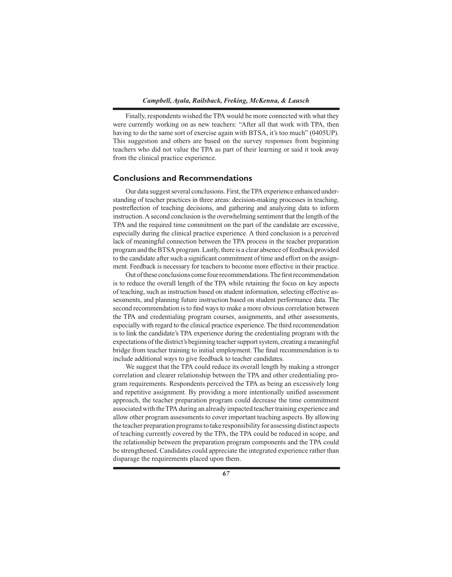Finally, respondents wished the TPA would be more connected with what they were currently working on as new teachers: "After all that work with TPA, then having to do the same sort of exercise again with BTSA, it's too much" (0405UP). This suggestion and others are based on the survey responses from beginning teachers who did not value the TPA as part of their learning or said it took away from the clinical practice experience.

# **Conclusions and Recommendations**

Our data suggest several conclusions. First, the TPA experience enhanced understanding of teacher practices in three areas: decision-making processes in teaching, postreflection of teaching decisions, and gathering and analyzing data to inform instruction. A second conclusion is the overwhelming sentiment that the length of the TPA and the required time commitment on the part of the candidate are excessive, especially during the clinical practice experience. A third conclusion is a perceived lack of meaningful connection between the TPA process in the teacher preparation program and the BTSA program. Lastly, there is a clear absence of feedback provided to the candidate after such a significant commitment of time and effort on the assignment. Feedback is necessary for teachers to become more effective in their practice.

Out of these conclusions come four recommendations. The first recommendation is to reduce the overall length of the TPA while retaining the focus on key aspects of teaching, such as instruction based on student information, selecting effective assessments, and planning future instruction based on student performance data. The second recommendation is to find ways to make a more obvious correlation between the TPA and credentialing program courses, assignments, and other assessments, especially with regard to the clinical practice experience. The third recommendation is to link the candidate's TPA experience during the credentialing program with the expectations of the district's beginning teacher support system, creating a meaningful bridge from teacher training to initial employment. The final recommendation is to include additional ways to give feedback to teacher candidates.

We suggest that the TPA could reduce its overall length by making a stronger correlation and clearer relationship between the TPA and other credentialing program requirements. Respondents perceived the TPA as being an excessively long and repetitive assignment. By providing a more intentionally unified assessment approach, the teacher preparation program could decrease the time commitment associated with the TPA during an already impacted teacher training experience and allow other program assessments to cover important teaching aspects. By allowing the teacher preparation programs to take responsibility for assessing distinct aspects of teaching currently covered by the TPA, the TPA could be reduced in scope, and the relationship between the preparation program components and the TPA could be strengthened. Candidates could appreciate the integrated experience rather than disparage the requirements placed upon them.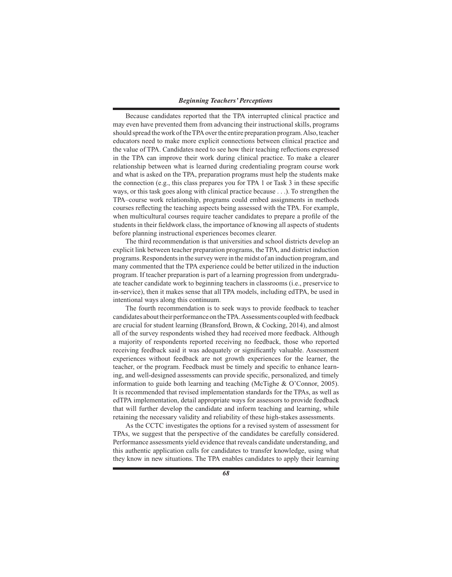### *Beginning Teachers' Perceptions*

Because candidates reported that the TPA interrupted clinical practice and may even have prevented them from advancing their instructional skills, programs should spread the work of the TPA over the entire preparation program. Also, teacher educators need to make more explicit connections between clinical practice and the value of TPA. Candidates need to see how their teaching reflections expressed in the TPA can improve their work during clinical practice. To make a clearer relationship between what is learned during credentialing program course work and what is asked on the TPA, preparation programs must help the students make the connection (e.g., this class prepares you for TPA 1 or Task 3 in these specific ways, or this task goes along with clinical practice because . . .). To strengthen the TPA–course work relationship, programs could embed assignments in methods courses reflecting the teaching aspects being assessed with the TPA. For example, when multicultural courses require teacher candidates to prepare a profile of the students in their fieldwork class, the importance of knowing all aspects of students before planning instructional experiences becomes clearer.

The third recommendation is that universities and school districts develop an explicit link between teacher preparation programs, the TPA, and district induction programs. Respondents in the survey were in the midst of an induction program, and many commented that the TPA experience could be better utilized in the induction program. If teacher preparation is part of a learning progression from undergraduate teacher candidate work to beginning teachers in classrooms (i.e., preservice to in-service), then it makes sense that all TPA models, including edTPA, be used in intentional ways along this continuum.

The fourth recommendation is to seek ways to provide feedback to teacher candidates about their performance on the TPA. Assessments coupled with feedback are crucial for student learning (Bransford, Brown, & Cocking, 2014), and almost all of the survey respondents wished they had received more feedback. Although a majority of respondents reported receiving no feedback, those who reported receiving feedback said it was adequately or significantly valuable. Assessment experiences without feedback are not growth experiences for the learner, the teacher, or the program. Feedback must be timely and specific to enhance learning, and well-designed assessments can provide specific, personalized, and timely information to guide both learning and teaching (McTighe & O'Connor, 2005). It is recommended that revised implementation standards for the TPAs, as well as edTPA implementation, detail appropriate ways for assessors to provide feedback that will further develop the candidate and inform teaching and learning, while retaining the necessary validity and reliability of these high-stakes assessments.

As the CCTC investigates the options for a revised system of assessment for TPAs, we suggest that the perspective of the candidates be carefully considered. Performance assessments yield evidence that reveals candidate understanding, and this authentic application calls for candidates to transfer knowledge, using what they know in new situations. The TPA enables candidates to apply their learning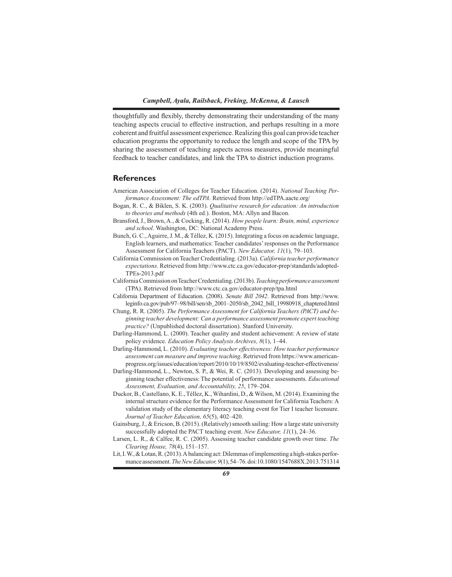thoughtfully and flexibly, thereby demonstrating their understanding of the many teaching aspects crucial to effective instruction, and perhaps resulting in a more coherent and fruitful assessment experience. Realizing this goal can provide teacher education programs the opportunity to reduce the length and scope of the TPA by sharing the assessment of teaching aspects across measures, provide meaningful feedback to teacher candidates, and link the TPA to district induction programs.

# **References**

- American Association of Colleges for Teacher Education. (2014). *National Teaching Performance Assessment: The edTPA*. Retrieved from http://edTPA.aacte.org/
- Bogan, R. C., & Biklen, S. K. (2003). *Qualitative research for education: An introduction to theories and methods* (4th ed.). Boston, MA: Allyn and Bacon.
- Bransford, J., Brown, A., & Cocking, R. (2014). *How people learn: Brain, mind, experience and school*. Washington, DC: National Academy Press.
- Bunch, G. C., Aguirre, J. M., & Téllez, K. (2015). Integrating a focus on academic language, English learners, and mathematics: Teacher candidates' responses on the Performance Assessment for California Teachers (PACT). *New Educator, 11*(1), 79–103.
- California Commission on Teacher Credentialing. (2013a). *California teacher performance expectations*. Retrieved from http://www.ctc.ca.gov/educator-prep/standards/adopted-TPEs-2013.pdf
- California Commission on Teacher Credentialing. (2013b). *Teaching performance assessment*  (TPA). Retrieved from http://www.ctc.ca.gov/educator-prep/tpa.html
- California Department of Education. (2008). *Senate Bill 2042*. Retrieved from http://www. leginfo.ca.gov/pub/97–98/bill/sen/sb\_2001–2050/sb\_2042\_bill\_19980918\_chaptered.html
- Chung, R. R. (2005). *The Performance Assessment for California Teachers (PACT) and beginning teacher development: Can a performance assessment promote expert teaching practice?* (Unpublished doctoral dissertation). Stanford University.
- Darling-Hammond, L. (2000). Teacher quality and student achievement: A review of state policy evidence. *Education Policy Analysis Archives, 8*(1), 1–44.
- Darling-Hammond, L. (2010). *Evaluating teacher effectiveness: How teacher performance assessment can measure and improve teaching*. Retrieved from https://www.americanprogress.org/issues/education/report/2010/10/19/8502/evaluating-teacher-effectiveness/
- Darling-Hammond, L., Newton, S. P., & Wei, R. C. (2013). Developing and assessing beginning teacher effectiveness: The potential of performance assessments. *Educational Assessment, Evaluation, and Accountability, 25*, 179–204.
- Duckor, B., Castellano, K. E., Téllez, K., Wihardini, D., & Wilson, M. (2014). Examining the internal structure evidence for the Performance Assessment for California Teachers: A validation study of the elementary literacy teaching event for Tier I teacher licensure. *Journal of Teacher Education, 65*(5), 402–420.
- Gainsburg, J., & Ericson, B. (2015). (Relatively) smooth sailing: How a large state university successfully adopted the PACT teaching event. *New Educator, 11*(1), 24–36.
- Larsen, L. R., & Calfee, R. C. (2005). Assessing teacher candidate growth over time. *The Clearing House, 78*(4), 151–157.
- Lit, I. W., & Lotan, R. (2013). A balancing act: Dilemmas of implementing a high-stakes performance assessment. *The New Educator, 9*(1), 54–76. doi:10.1080/1547688X.2013.751314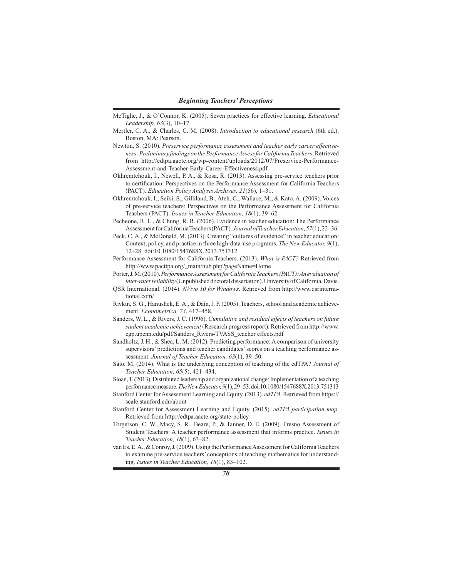- McTighe, J., & O'Connor, K. (2005). Seven practices for effective learning. *Educational Leadership, 63*(3), 10–17.
- Mertler, C. A., & Charles, C. M. (2008). *Introduction to educational research* (6th ed.). Boston, MA: Pearson.
- Newton, S. (2010). *Preservice performance assessment and teacher early career effectiveness: Preliminary findings on the Performance Assess for California Teachers*. Retrieved from http://edtpa.aacte.org/wp-content/uploads/2012/07/Preservice-Performance-Assessment-and-Teacher-Early-Career-Effectiveness.pdf
- Okhremtchouk, I., Newell, P. A., & Rosa, R. (2013). Assessing pre-service teachers prior to certification: Perspectives on the Performance Assessment for California Teachers (PACT). *Education Policy Analysis Archives, 21*(56), 1–31.
- Okhremtchouk, I., Seiki, S., Gilliland, B., Ateh, C., Wallace, M., & Kato, A. (2009). Voices of pre-service teachers: Perspectives on the Performance Assessment for California Teachers (PACT). *Issues in Teacher Education, 18*(1), 39–62.
- Pecheone, R. L., & Chung, R. R. (2006). Evidence in teacher education: The Performance Assessment for California Teachers (PACT). *Journal of Teacher Education, 57*(1), 22–36.
- Peck, C. A., & McDonald, M. (2013). Creating "cultures of evidence" in teacher education: Context, policy, and practice in three high-data-use programs. *The New Educator, 9*(1), 12–28. doi:10.1080/1547688X.2013.751312
- Performance Assessment for California Teachers. (2013). *What is PACT?* Retrieved from http://www.pacttpa.org/\_main/hub.php?pageName=Home
- Porter, J. M. (2010). *Performance Assessment for California Teachers (PACT): An evaluation of inter-rater reliability* (Unpublished doctoral dissertation). University of California, Davis.
- QSR International. (2014). *NVivo 10 for Windows*. Retrieved from http://www.qsrinternational.com/
- Rivkin, S. G., Hanushek, E. A., & Dain, J. F. (2005). Teachers, school and academic achievement. *Econometrica, 73*, 417–458.
- Sanders, W. L., & Rivers, J. C. (1996). *Cumulative and residual effects of teachers on future student academic achievement* (Research progress report). Retrieved from http://www. cgp.upenn.edu/pdf/Sanders\_Rivers-TVASS\_teacher effects.pdf
- Sandholtz, J. H., & Shea, L. M. (2012). Predicting performance: A comparison of university supervisors' predictions and teacher candidates' scores on a teaching performance assessment. *Journal of Teacher Education, 63*(1), 39–50.
- Sato, M. (2014). What is the underlying conception of teaching of the edTPA? *Journal of Teacher Education, 65*(5), 421–434.
- Sloan, T. (2013). Distributed leadership and organizational change: Implementation of a teaching performance measure. *The New Educator, 9*(1), 29–53. doi:10.1080/1547688X.2013.751313
- Stanford Center for Assessment Learning and Equity. (2013). *edTPA*. Retrieved from https:// scale.stanford.edu/about
- Stanford Center for Assessment Learning and Equity. (2015). *edTPA participation map*. Retrieved from http://edtpa.aacte.org/state-policy
- Torgerson, C. W., Macy, S. R., Beare, P., & Tanner, D. E. (2009). Fresno Assessment of Student Teachers: A teacher performance assessment that informs practice. *Issues in Teacher Education, 18*(1), 63–82.

van Es, E. A., & Conroy, J. (2009). Using the Performance Assessment for California Teachers to examine pre-service teachers' conceptions of teaching mathematics for understanding. *Issues in Teacher Education, 18*(1), 83–102.